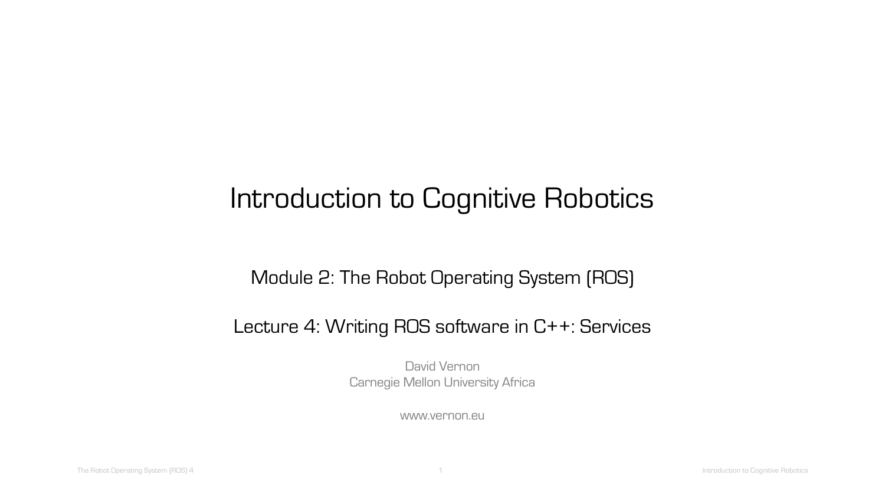# Introduction to Cognitive Robotics

#### Module 2: The Robot Operating System (ROS)

#### Lecture 4: Writing ROS software in C++: Services

David Vernon Carnegie Mellon University Africa

www.vernon.eu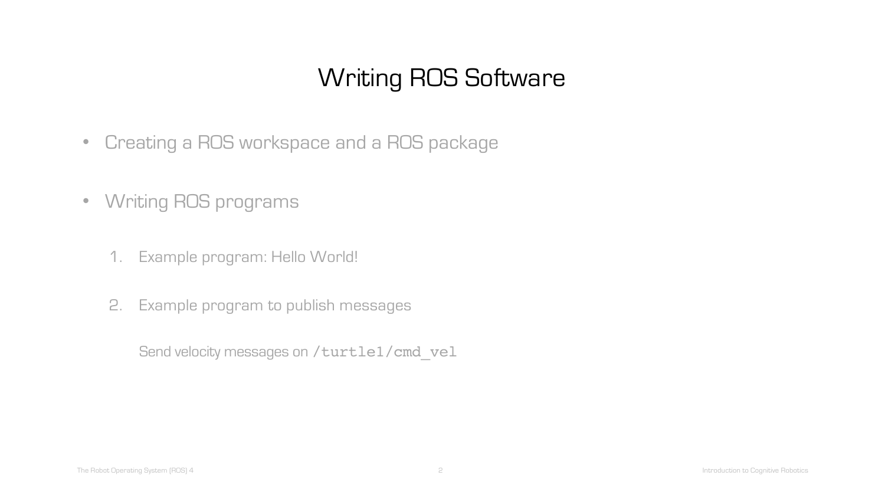# Writing ROS Software

- Creating a ROS workspace and a ROS package
- Writing ROS programs
	- 1. Example program: Hello World!
	- 2. Example program to publish messages

Send velocity messages on /turtle1/cmd\_vel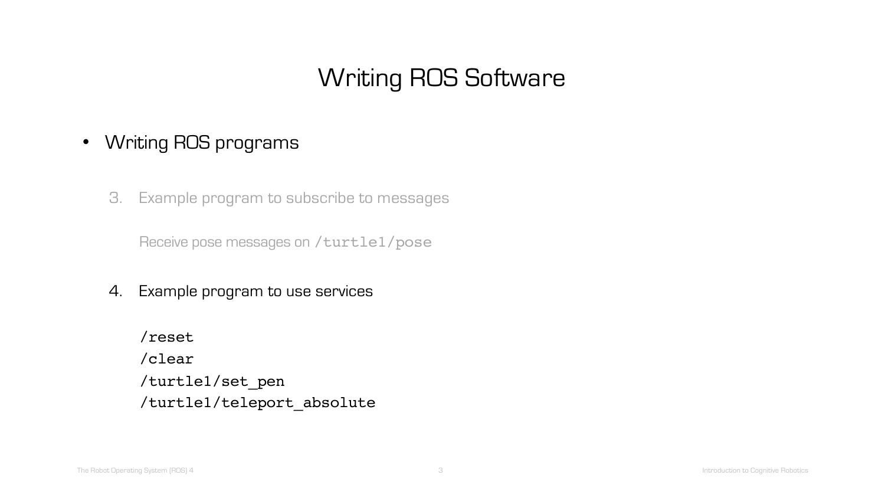# Writing ROS Software

#### • Writing ROS programs

3. Example program to subscribe to messages

Receive pose messages on /turtle1/pose

4. Example program to use services

/reset /clear /turtle1/set\_pen /turtle1/teleport\_absolute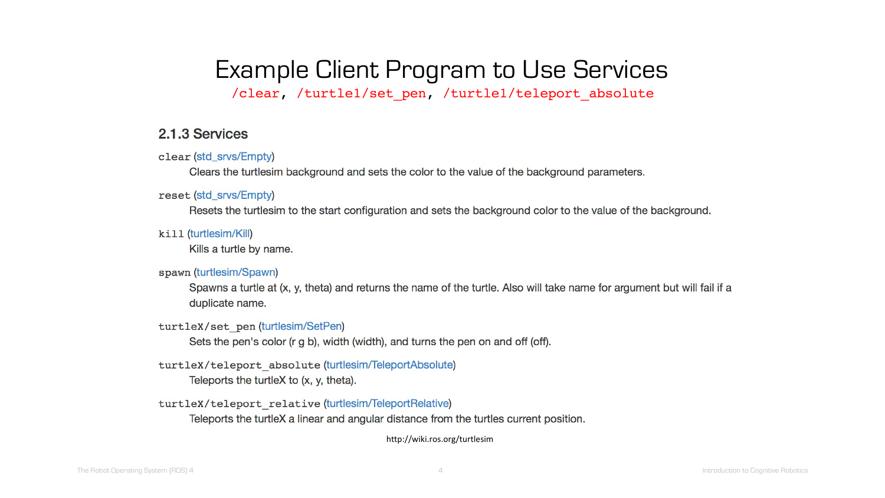### Example Client Program to Use Services /clear, /turtle1/set pen, /turtle1/teleport absolute

#### 2.1.3 Services

clear (std\_srvs/Empty)

Clears the turtlesim background and sets the color to the value of the background parameters.

reset (std\_srvs/Empty)

Resets the turtlesim to the start configuration and sets the background color to the value of the background.

kill (turtlesim/Kill)

Kills a turtle by name.

#### spawn (turtlesim/Spawn)

Spawns a turtle at (x, y, theta) and returns the name of the turtle. Also will take name for argument but will fail if a duplicate name.

#### turtleX/set pen (turtlesim/SetPen)

Sets the pen's color (r g b), width (width), and turns the pen on and off (off).

#### turtleX/teleport absolute (turtlesim/TeleportAbsolute)

Teleports the turtleX to (x, y, theta).

turtleX/teleport relative (turtlesim/TeleportRelative)

Teleports the turtleX a linear and angular distance from the turtles current position.

http://wiki.ros.org/turtlesim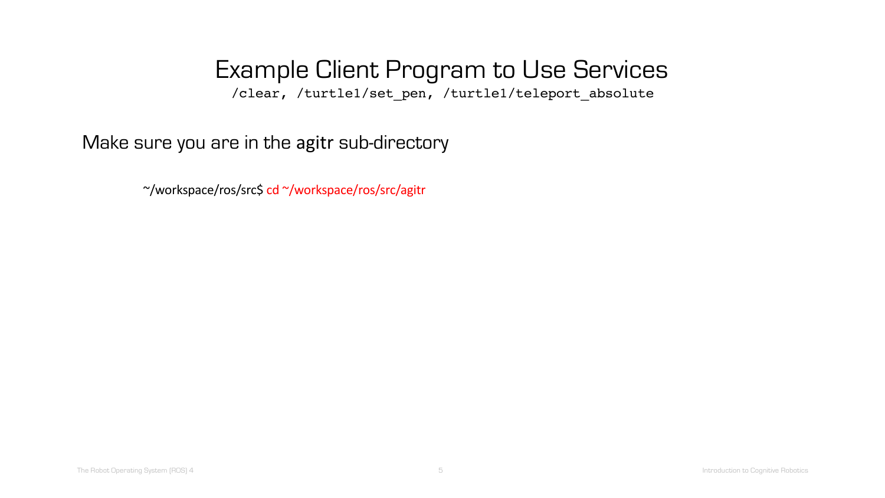/clear, /turtle1/set\_pen, /turtle1/teleport\_absolute

Make sure you are in the agitr sub-directory

~/workspace/ros/src\$ cd ~/workspace/ros/src/agitr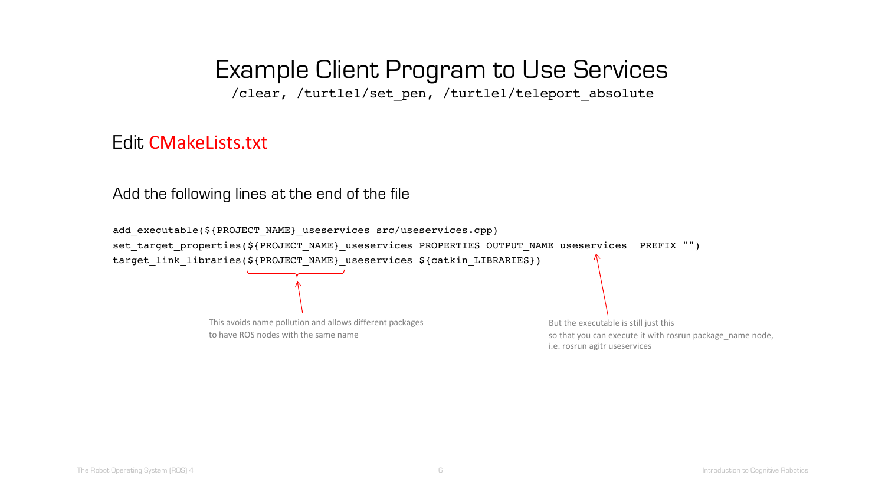/clear, /turtle1/set\_pen, /turtle1/teleport\_absolute

#### Edit CMakeLists.txt

Add the following lines at the end of the file

add executable(\${PROJECT\_NAME} useservices src/useservices.cpp) set target properties(\${PROJECT\_NAME} useservices PROPERTIES OUTPUT NAME useservices PREFIX "") target\_link\_libraries(\${PROJECT\_NAME}\_useservices \${catkin\_LIBRARIES}) This avoids name pollution and allows different packages to have ROS nodes with the same name But the executable is still just this so that you can execute it with rosrun package name node, i.e. rosrun agitr useservices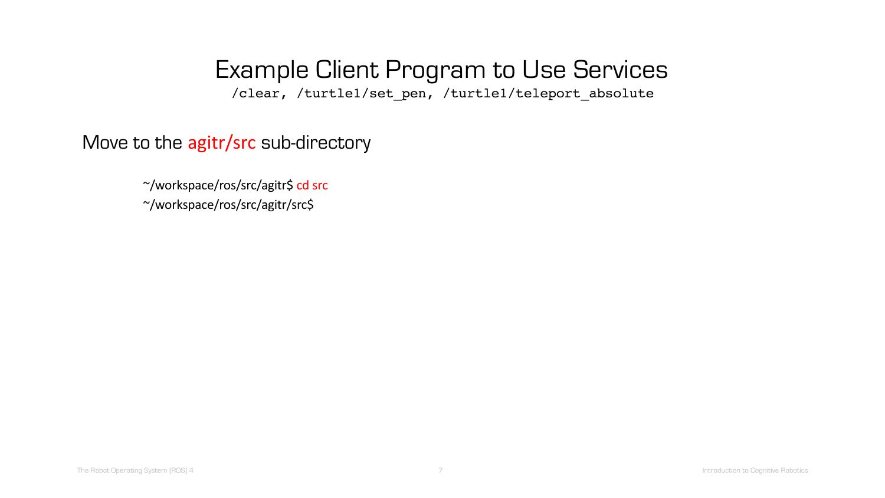/clear, /turtle1/set\_pen, /turtle1/teleport\_absolute

Move to the agitr/src sub-directory

~/workspace/ros/src/agitr\$ cd src

~/workspace/ros/src/agitr/src\$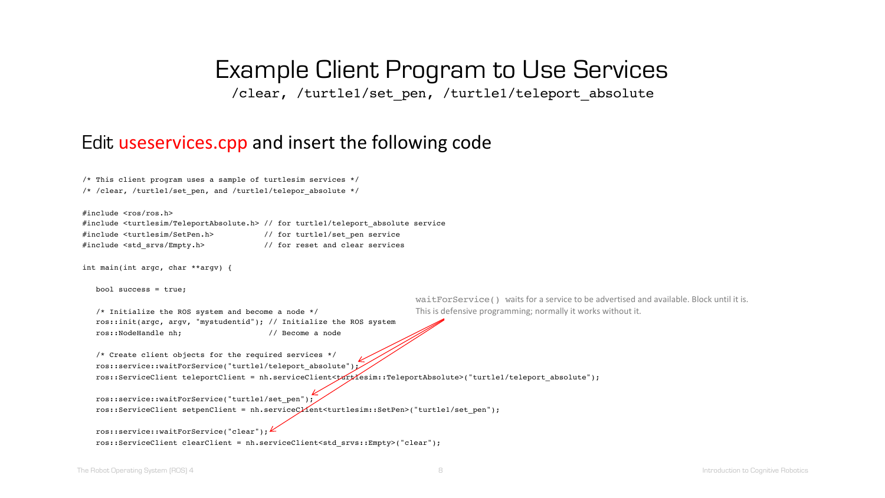/clear, /turtle1/set pen, /turtle1/teleport absolute

#### Edit useservices.cpp and insert the following code

|  |  |  |  | /* This client program uses a sample of turtlesim services */ |  |
|--|--|--|--|---------------------------------------------------------------|--|
|  |  |  |  | /* /clear, /turtle1/set pen, and /turtle1/telepor absolute */ |  |

#include <ros/ros.h>

#include <turtlesim/TeleportAbsolute.h> // for turtle1/teleport\_absolute service #include <turtlesim/SetPen.h> // for turtle1/set\_pen service #include <std\_srvs/Empty.h> // for reset and clear services

int main(int argc, char \*\*argv) {

bool success = true;

/\* Initialize the ROS system and become a node \*/ ros::init(argc, argv, "mystudentid"); // Initialize the ROS system ros::NodeHandle nh; // Become a node

waitForService() waits for a service to be advertised and available. Block until it is. This is defensive programming; normally it works without it.

/\* Create client objects for the required services \*/ ros::service::waitForService("turtle1/teleport\_absolute"); ros::ServiceClient teleportClient = nh.serviceClient<turtlesim::TeleportAbsolute>("turtle1/teleport absolute");

ros::service::waitForService("turtle1/set pen"); ros::ServiceClient setpenClient = nh.serviceClient<turtlesim::SetPen>("turtle1/set\_pen");

ros::service::waitForService("clear"); ros::ServiceClient clearClient = nh.serviceClient<std srvs::Empty>("clear");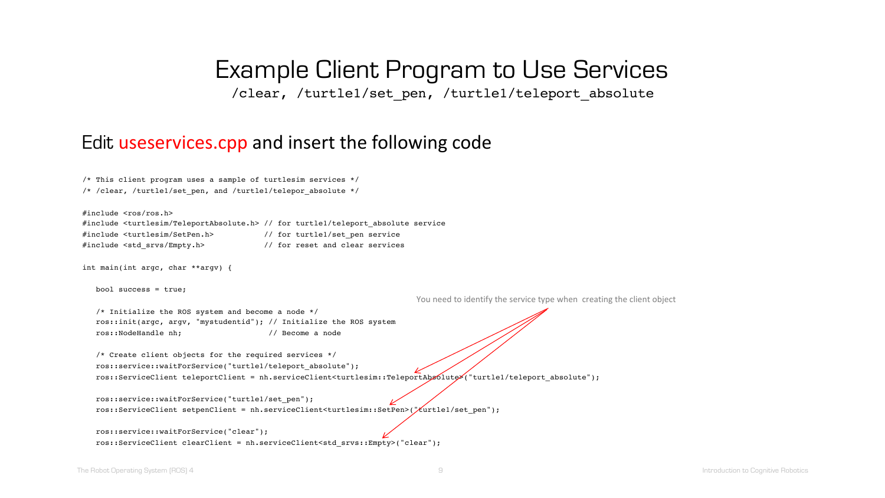/clear, /turtle1/set pen, /turtle1/teleport absolute

#### Edit useservices.cpp and insert the following code

|  |  |  |  | /* This client program uses a sample of turtlesim services */ |  |
|--|--|--|--|---------------------------------------------------------------|--|
|  |  |  |  | /* /clear, /turtle1/set pen, and /turtle1/telepor absolute */ |  |

#include <ros/ros.h>

#include <turtlesim/TeleportAbsolute.h> // for turtle1/teleport\_absolute service #include <turtlesim/SetPen.h> // for turtle1/set\_pen service #include <std\_srvs/Empty.h> // for reset and clear services

int main(int argc, char \*\*argv) {

bool success = true;

You need to identify the service type when creating the client object

/\* Initialize the ROS system and become a node \*/ ros::init(argc, argv, "mystudentid"); // Initialize the ROS system ros::NodeHandle nh; // Become a node

/\* Create client objects for the required services \*/ ros::service::waitForService("turtle1/teleport\_absolute"); ros::ServiceClient teleportClient = nh.serviceClient<turtlesim::TeleportAbsolute>("turtle1/teleport\_absolute");

ros::service::waitForService("turtle1/set\_pen"); ros::ServiceClient setpenClient = nh.serviceClient<turtlesim::SetPen>("turtle1/set\_pen");

ros::service::waitForService("clear"); ros::ServiceClient clearClient = nh.serviceClient<std srvs::Empty>("clear");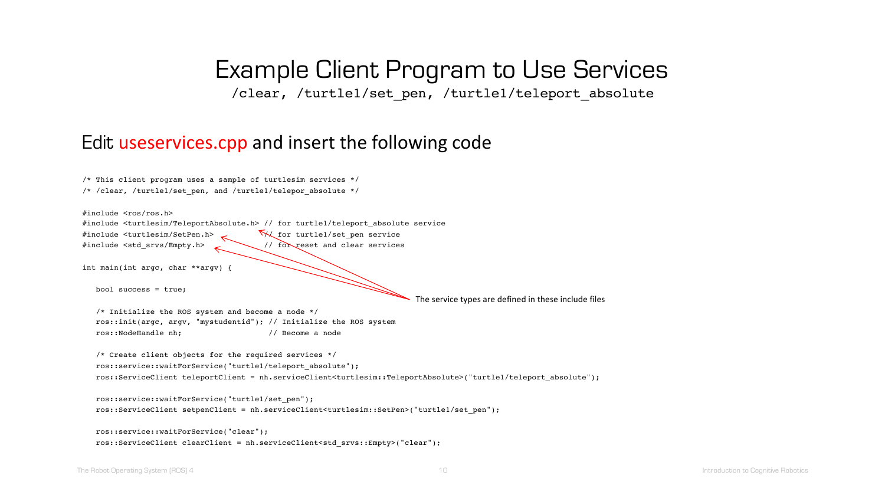/clear, /turtle1/set\_pen, /turtle1/teleport\_absolute

#### Edit useservices.cpp and insert the following code

| /* This client program uses a sample of turtlesim services */                                                                                  |
|------------------------------------------------------------------------------------------------------------------------------------------------|
| /* /clear, /turtle1/set pen, and /turtle1/telepor absolute */                                                                                  |
| $#include <$ $ros/ros.b>$                                                                                                                      |
| #include <turtlesim teleportabsolute.h=""> // for turtle1/teleport absolute service</turtlesim>                                                |
| W for turtle1/set pen service<br>#include <turtlesim setpen.h=""></turtlesim>                                                                  |
| // for reset and clear services<br>#include <std_srvs empty.h=""></std_srvs>                                                                   |
| int main(int argc, char **argv) {                                                                                                              |
| bool success = $true$ ;                                                                                                                        |
| The service types are defined in these include files                                                                                           |
| /* Initialize the ROS system and become a node $*/$                                                                                            |
| ros::init(argc, argv, "mystudentid"); // Initialize the ROS system                                                                             |
| ros::NodeHandle nh;<br>// Become a node                                                                                                        |
| /* Create client objects for the required services */                                                                                          |
| ros::service::waitForService("turtle1/teleport absolute");                                                                                     |
| ros::ServiceClient teleportClient = nh.serviceClient <turtlesim::teleportabsolute>("turtle1/teleport absolute");</turtlesim::teleportabsolute> |
| ros::service::waitForService("turtle1/set pen");                                                                                               |
| ros::ServiceClient setpenClient = nh.serviceClient <turtlesim::setpen>("turtle1/set_pen");</turtlesim::setpen>                                 |
|                                                                                                                                                |

```
ros::service::waitForService("clear");
ros::ServiceClient clearClient = nh.serviceClient<std_srvs::Empty>("clear");
```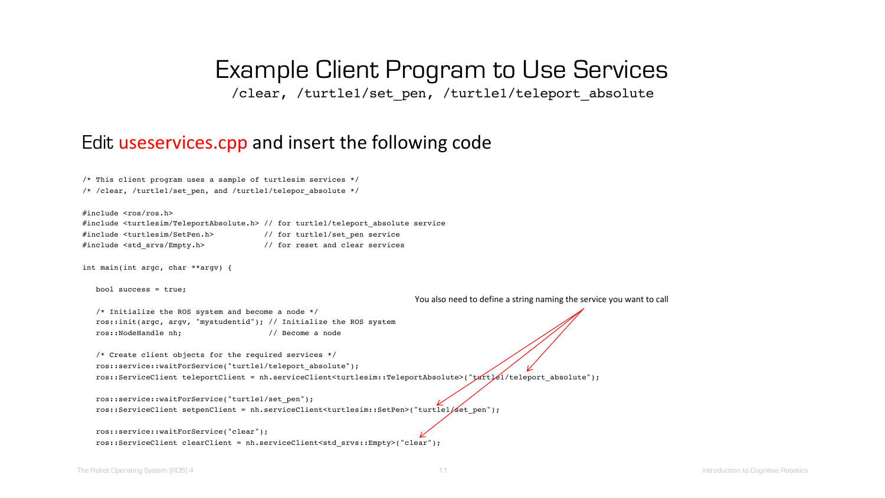/clear, /turtle1/set\_pen, /turtle1/teleport\_absolute

#### Edit useservices.cpp and insert the following code

| /* This client program uses a sample of turtlesim services */ |                                                                                                                |                                                                                                                                                |
|---------------------------------------------------------------|----------------------------------------------------------------------------------------------------------------|------------------------------------------------------------------------------------------------------------------------------------------------|
| /* /clear, /turtle1/set pen, and /turtle1/telepor absolute */ |                                                                                                                |                                                                                                                                                |
|                                                               |                                                                                                                |                                                                                                                                                |
| #include <ros ros.h=""></ros>                                 |                                                                                                                |                                                                                                                                                |
|                                                               | #include <turtlesim teleportabsolute.h=""> // for turtle1/teleport absolute service</turtlesim>                |                                                                                                                                                |
| #include <turtlesim setpen.h=""></turtlesim>                  | // for turtle1/set pen service                                                                                 |                                                                                                                                                |
| #include <std empty.h="" srvs=""></std>                       | // for reset and clear services                                                                                |                                                                                                                                                |
| int main(int argc, char **argv) {                             |                                                                                                                |                                                                                                                                                |
| bool success = $true$ ;                                       |                                                                                                                |                                                                                                                                                |
|                                                               |                                                                                                                | You also need to define a string naming the service you want to call                                                                           |
| /* Initialize the ROS system and become a node */             |                                                                                                                |                                                                                                                                                |
|                                                               | ros::init(argc, argv, "mystudentid"); // Initialize the ROS system                                             |                                                                                                                                                |
| ros::NodeHandle nh;                                           | // Become a node                                                                                               |                                                                                                                                                |
|                                                               |                                                                                                                |                                                                                                                                                |
| /* Create client objects for the required services */         |                                                                                                                |                                                                                                                                                |
| ros::service::waitForService("turtle1/teleport absolute");    |                                                                                                                |                                                                                                                                                |
|                                                               |                                                                                                                | ros::ServiceClient teleportClient = nh.serviceClient <turtlesim::teleportabsolute>("txft]El/teleport_absolute");</turtlesim::teleportabsolute> |
| ros::service::waitForService("turtle1/set pen");              |                                                                                                                |                                                                                                                                                |
|                                                               | ros::ServiceClient setpenClient = nh.serviceClient <turtlesim::setpen>("turtle1/set_pen");</turtlesim::setpen> |                                                                                                                                                |
| ros::service::waitForService("clear");                        | ros::ServiceClient clearClient = nh.serviceClient <std srvs::empty="">("clear");</std>                         |                                                                                                                                                |
|                                                               |                                                                                                                |                                                                                                                                                |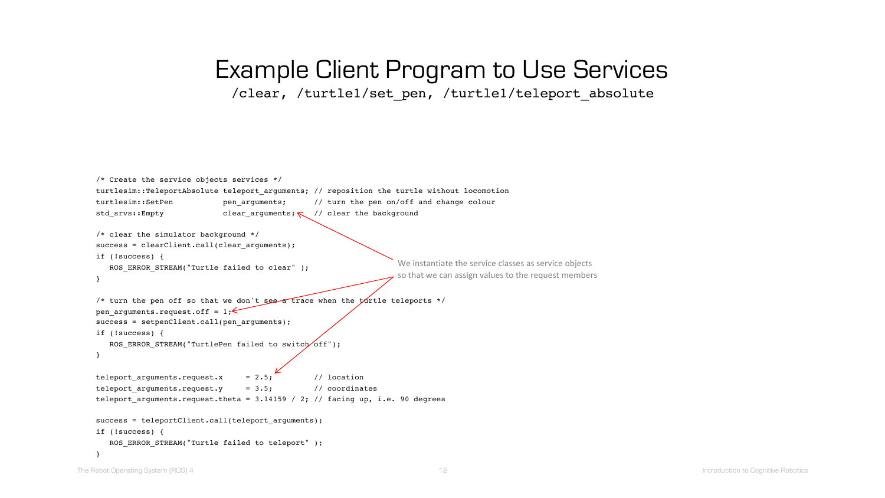### Example Client Program to Use Services /clear, /turtle1/set\_pen, /turtle1/teleport\_absolute

```
/* Create the service objects services */ 
turtlesim::TeleportAbsolute teleport arguments; // reposition the turtle without locomotion
turtlesim::SetPen pen arguments; // turn the pen on/off and change colour
std srvs::Empty clear arguments; \lt/ / clear the background
/* clear the simulator background */
success = clearClient.call(clear arguments);
if (!success) {
   ROS ERROR STREAM("Turtle failed to clear" );
}
/* turn the pen off so that we don't see a trace when the turtle teleports */
pen arguments.request.off = 1;success = setpenClient.call(pen_arguments);
if (!success) {
   ROS ERROR STREAM("TurtlePen failed to switch off");
}
teleport arguments.request.x = 2.5; // location
teleport_arguments.request.y = 3.5; // coordinates
teleport arguments.request.theta = 3.14159 / 2; // facing up, i.e. 90 degrees
success = teleportClient.call(teleport arguments);
if (!success) {
   ROS ERROR STREAM("Turtle failed to teleport" );
}
                                                                 We instantiate the service classes as service objects
                                                                 so that we can assign values to the request members
```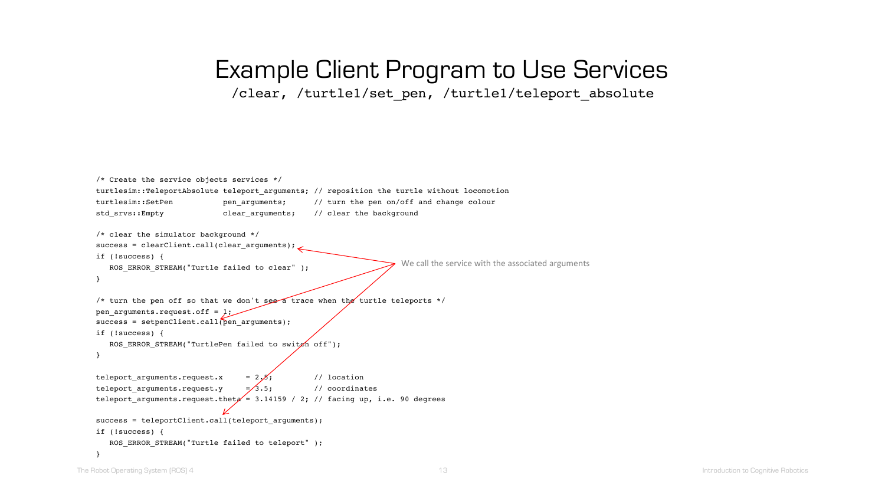### Example Client Program to Use Services /clear, /turtle1/set\_pen, /turtle1/teleport\_absolute

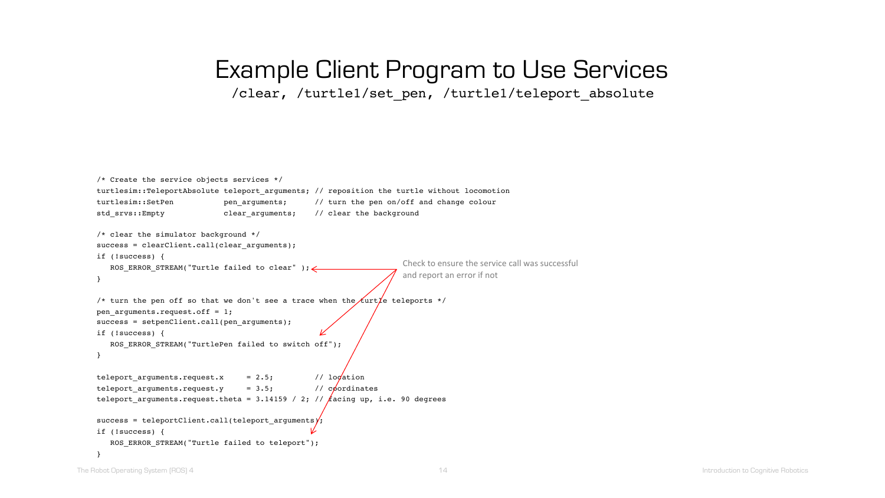### Example Client Program to Use Services /clear, /turtle1/set\_pen, /turtle1/teleport\_absolute

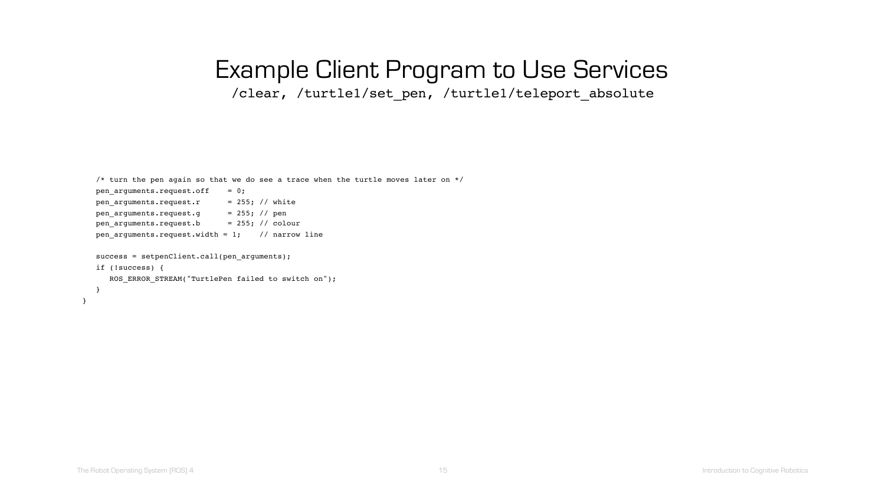/clear, /turtle1/set\_pen, /turtle1/teleport\_absolute

```
/* turn the pen again so that we do see a trace when the turtle moves later on */pen_arguments.request.off = 0;pen arguments.request.r = 255; // white
  pen arguments.request.g = 255; // pen
  pen arguments.request.b = 255; // colour
  pen arguments.request.width = 1; // narrow line
  success = setpenClient.call(pen arguments);
  if (!success) {
     ROS ERROR STREAM("TurtlePen failed to switch on");
  }
}
```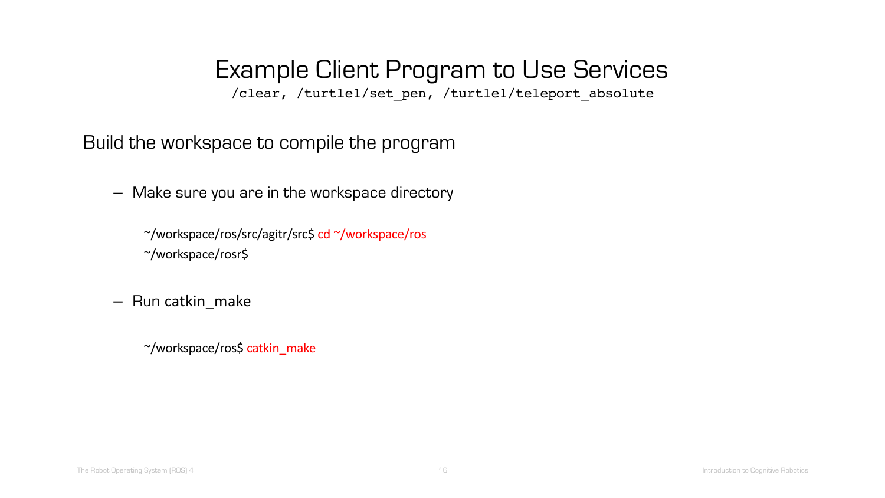/clear, /turtle1/set\_pen, /turtle1/teleport\_absolute

Build the workspace to compile the program

– Make sure you are in the workspace directory

~/workspace/ros/src/agitr/src\$ cd ~/workspace/ros ~/workspace/rosr\$

– Run catkin\_make

~/workspace/ros\$ catkin\_make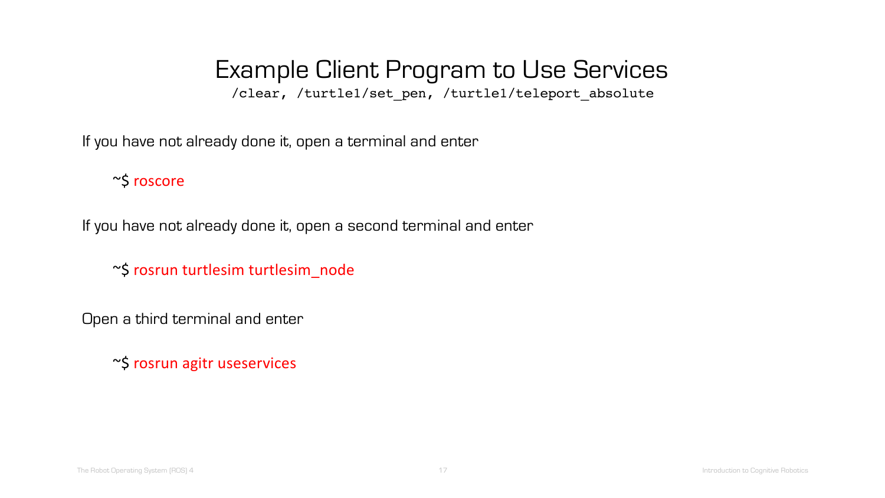/clear, /turtle1/set\_pen, /turtle1/teleport\_absolute

If you have not already done it, open a terminal and enter

~\$ roscore

If you have not already done it, open a second terminal and enter

~\$ rosrun turtlesim turtlesim\_node

Open a third terminal and enter

~\$ rosrun agitr useservices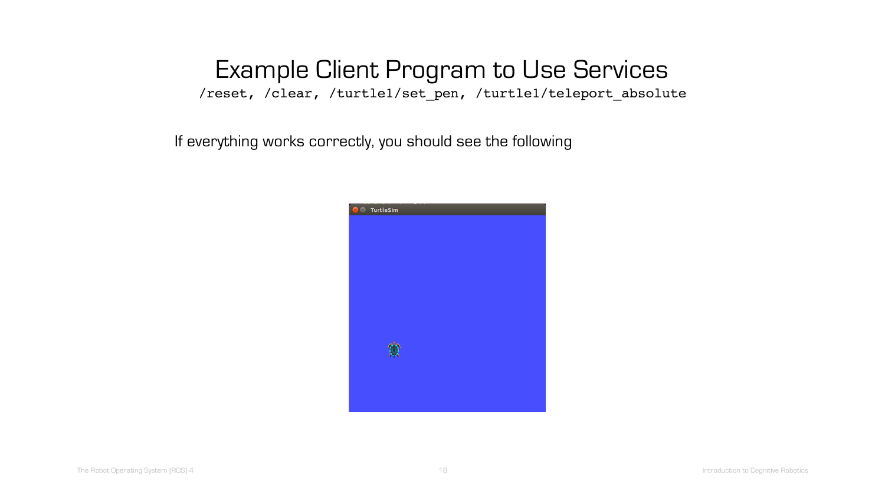/reset, /clear, /turtle1/set\_pen, /turtle1/teleport\_absolute

If everything works correctly, you should see the following

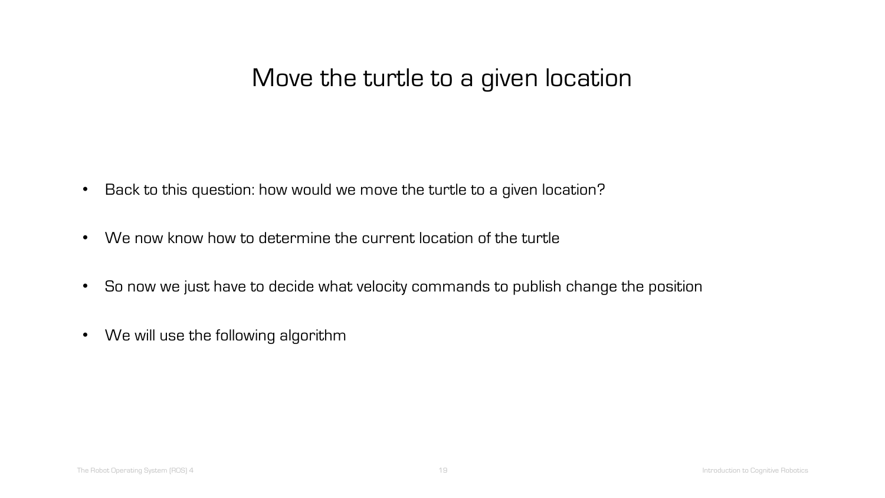- Back to this question: how would we move the turtle to a given location?
- We now know how to determine the current location of the turtle
- So now we just have to decide what velocity commands to publish change the position
- We will use the following algorithm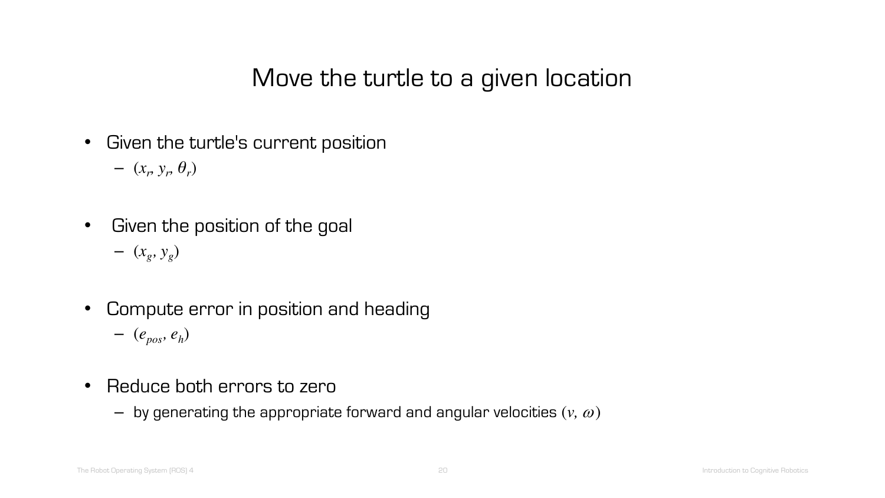- Given the turtle's current position
	- $(x_r, y_r, \theta_r)$
- Given the position of the goal – (*xg, yg*)
- Compute error in position and heading – (*epos, eh*)
- Reduce both errors to zero
	- $-$  by generating the appropriate forward and angular velocities  $(v, \omega)$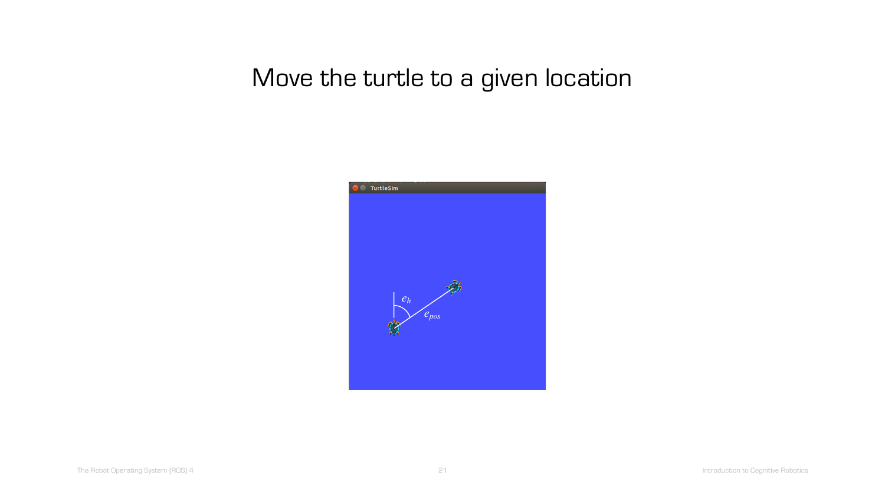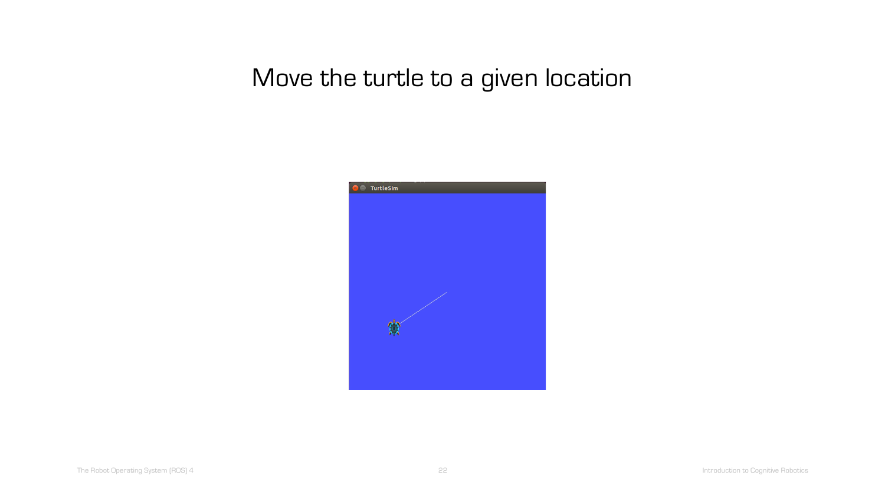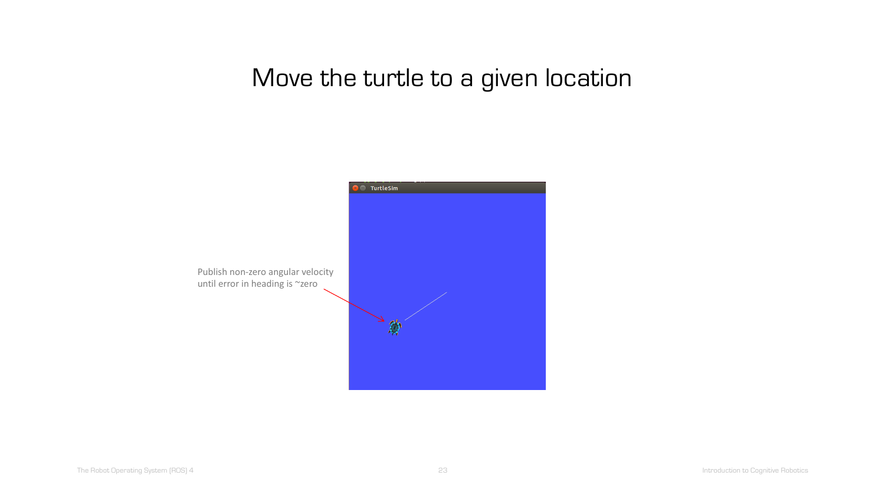

Publish non-zero angular velocity until error in heading is ~zero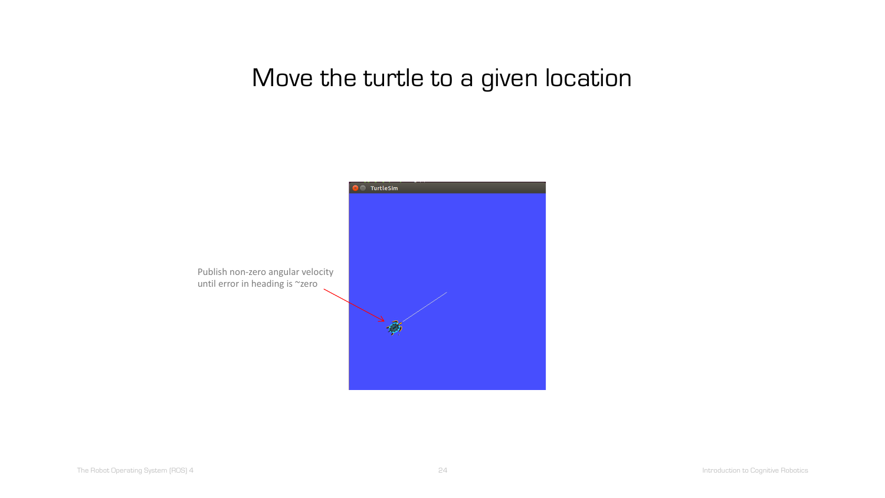

The Robot Operating System (ROS) 4 24 22 24 22 24 Introduction to Cognitive Robotics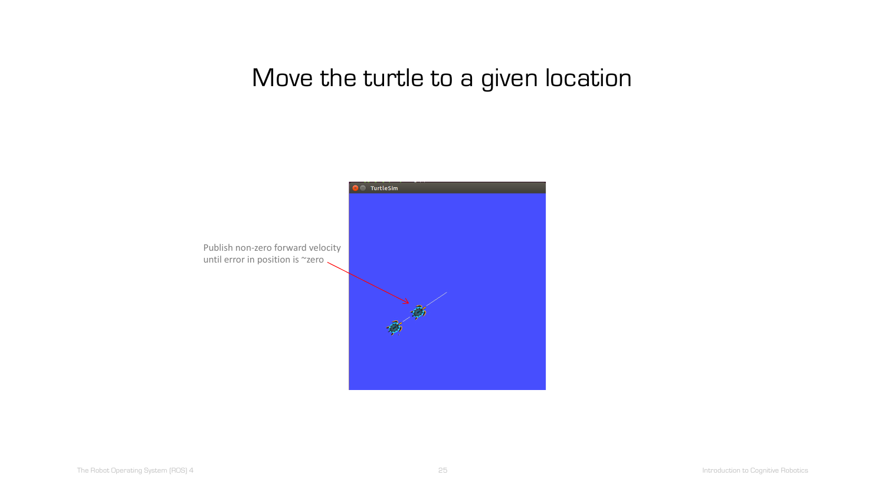

Publish non-zero forward velocity until error in position is ~zero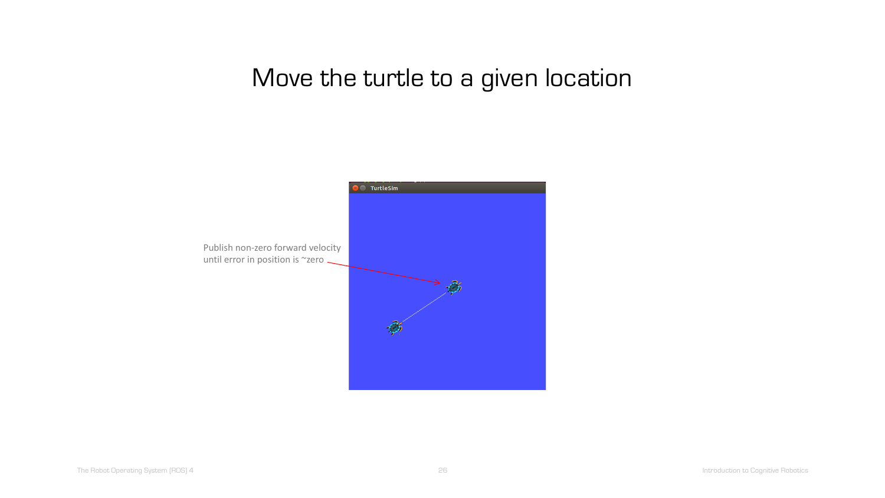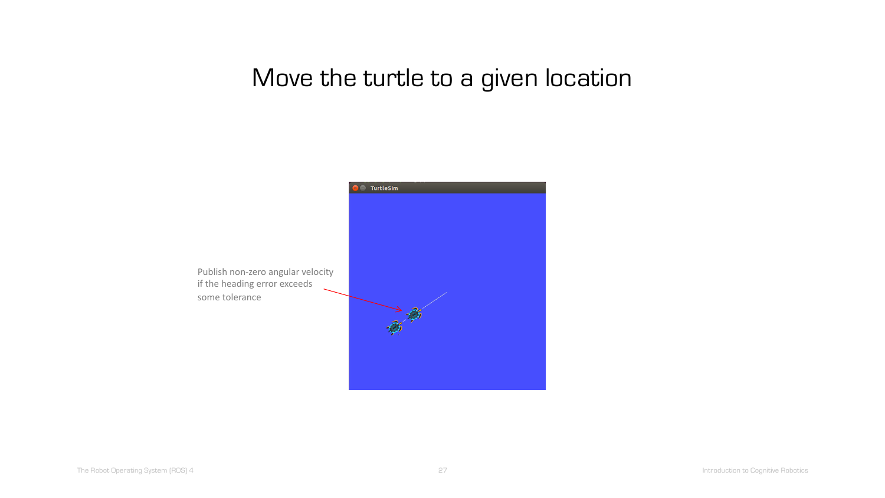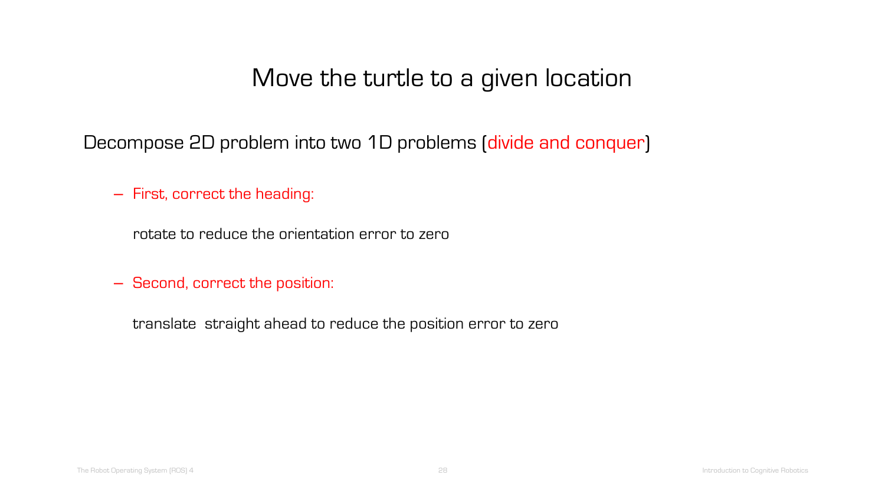Decompose 2D problem into two 1D problems (divide and conquer)

– First, correct the heading:

rotate to reduce the orientation error to zero

– Second, correct the position:

translate straight ahead to reduce the position error to zero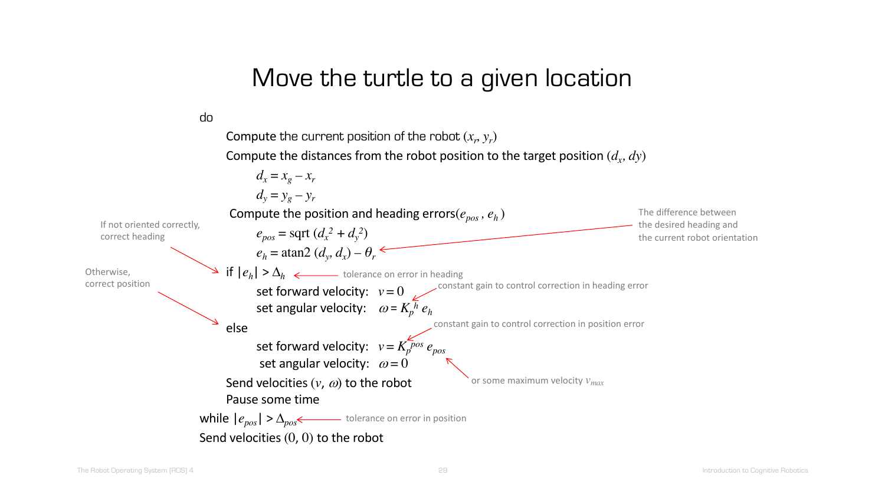do

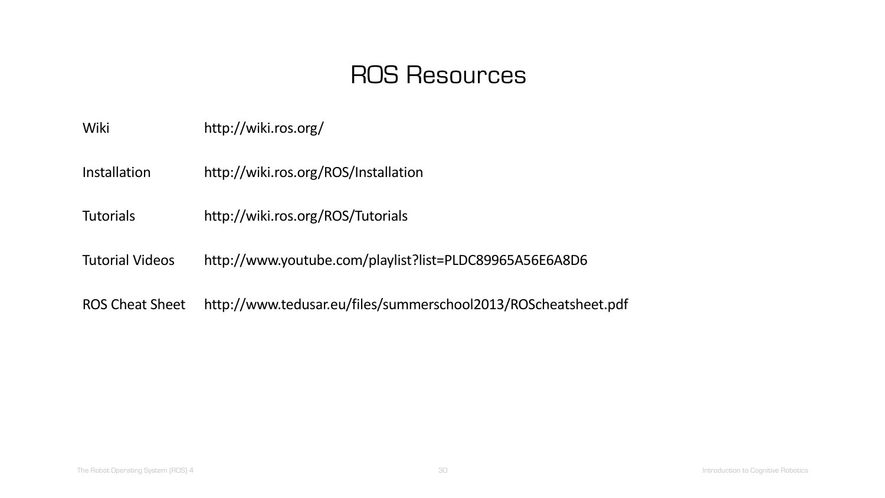## ROS Resources

| Wiki | http://wiki.ros.org/ |
|------|----------------------|
|------|----------------------|

Installation http://wiki.ros.org/ROS/Installation

Tutorials http://wiki.ros.org/ROS/Tutorials

Tutorial Videos http://www.youtube.com/playlist?list=PLDC89965A56E6A8D6

ROS Cheat Sheet http://www.tedusar.eu/files/summerschool2013/ROScheatsheet.pdf